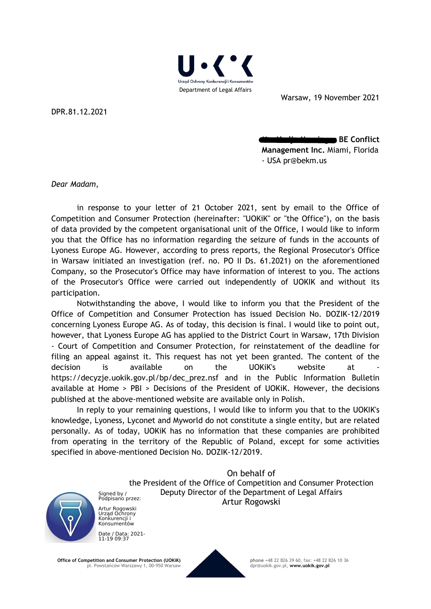

Warsaw, 19 November 2021

DPR.81.12.2021

**MB. BE Conflict Management Inc.** Miami, Florida - USA pr@bekm.us

*Dear Madam*,

in response to your letter of 21 October 2021, sent by email to the Office of Competition and Consumer Protection (hereinafter: "UOKiK" or "the Office"), on the basis of data provided by the competent organisational unit of the Office, I would like to inform you that the Office has no information regarding the seizure of funds in the accounts of Lyoness Europe AG. However, according to press reports, the Regional Prosecutor's Office in Warsaw initiated an investigation (ref. no. PO II Ds. 61.2021) on the aforementioned Company, so the Prosecutor's Office may have information of interest to you. The actions of the Prosecutor's Office were carried out independently of UOKIK and without its participation.

Notwithstanding the above, I would like to inform you that the President of the Office of Competition and Consumer Protection has issued Decision No. DOZIK-12/2019 concerning Lyoness Europe AG. As of today, this decision is final. I would like to point out, however, that Lyoness Europe AG has applied to the District Court in Warsaw, 17th Division - Court of Competition and Consumer Protection, for reinstatement of the deadline for filing an appeal against it. This request has not yet been granted. The content of the decision is available on the UOKiK's website at https://decyzje.uokik.gov.pl/bp/dec\_prez.nsf and in the Public Information Bulletin available at Home > PBI > Decisions of the President of UOKiK. However, the decisions published at the above-mentioned website are available only in Polish.

In reply to your remaining questions, I would like to inform you that to the UOKIK's knowledge, Lyoness, Lyconet and Myworld do not constitute a single entity, but are related personally. As of today, UOKiK has no information that these companies are prohibited from operating in the territory of the Republic of Poland, except for some activities specified in above-mentioned Decision No. DOZIK-12/2019.

> On behalf of the President of the Office of Competition and Consumer Protection Deputy Director of the Department of Legal Affairs Artur Rogowski



Signed by / Podpisano przez: Artur Rogowski Urząd Ochrony Konkurencji i Konsumentów

Date / Data: 2021- 11-19 09:37

**Office of Competition and Consumer Protection (UOKiK)**

pl. Powstańców Warszawy 1, 00-950 Warsaw



**phone** +48 22 826 39 60, fax: +48 22 826 10 36 dpr@uokik.gov.pl, **www.uokik.gov.pl**